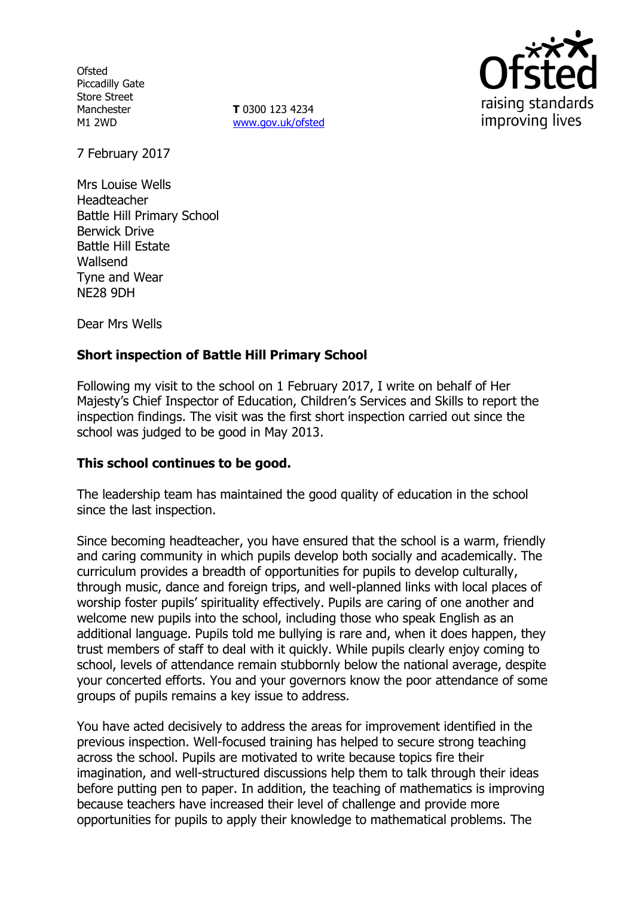**Ofsted** Piccadilly Gate Store Street Manchester M1 2WD

**T** 0300 123 4234 www.gov.uk/ofsted



7 February 2017

Mrs Louise Wells Headteacher Battle Hill Primary School Berwick Drive Battle Hill Estate Wallsend Tyne and Wear NE28 9DH

Dear Mrs Wells

# **Short inspection of Battle Hill Primary School**

Following my visit to the school on 1 February 2017, I write on behalf of Her Majesty's Chief Inspector of Education, Children's Services and Skills to report the inspection findings. The visit was the first short inspection carried out since the school was judged to be good in May 2013.

#### **This school continues to be good.**

The leadership team has maintained the good quality of education in the school since the last inspection.

Since becoming headteacher, you have ensured that the school is a warm, friendly and caring community in which pupils develop both socially and academically. The curriculum provides a breadth of opportunities for pupils to develop culturally, through music, dance and foreign trips, and well-planned links with local places of worship foster pupils' spirituality effectively. Pupils are caring of one another and welcome new pupils into the school, including those who speak English as an additional language. Pupils told me bullying is rare and, when it does happen, they trust members of staff to deal with it quickly. While pupils clearly enjoy coming to school, levels of attendance remain stubbornly below the national average, despite your concerted efforts. You and your governors know the poor attendance of some groups of pupils remains a key issue to address.

You have acted decisively to address the areas for improvement identified in the previous inspection. Well-focused training has helped to secure strong teaching across the school. Pupils are motivated to write because topics fire their imagination, and well-structured discussions help them to talk through their ideas before putting pen to paper. In addition, the teaching of mathematics is improving because teachers have increased their level of challenge and provide more opportunities for pupils to apply their knowledge to mathematical problems. The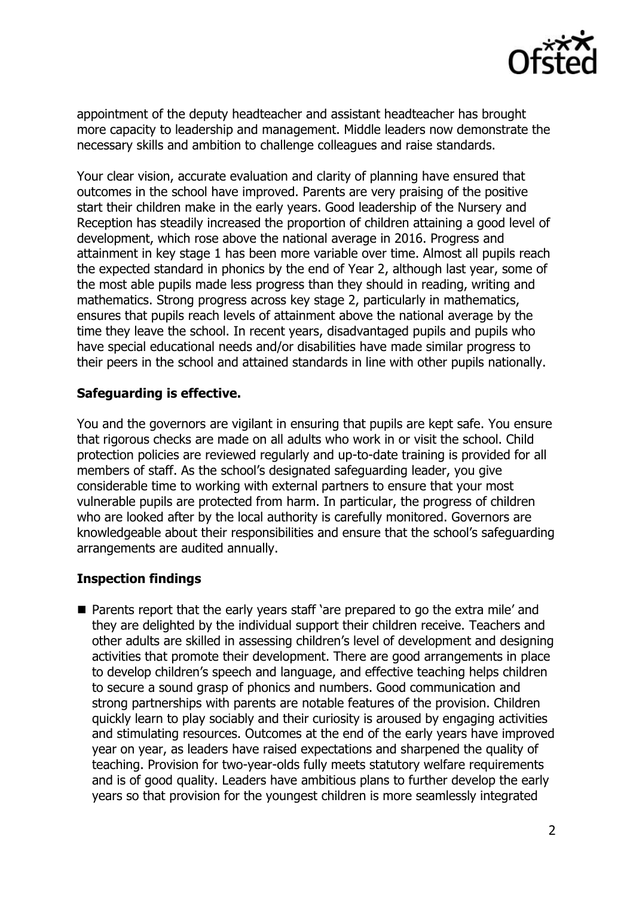

appointment of the deputy headteacher and assistant headteacher has brought more capacity to leadership and management. Middle leaders now demonstrate the necessary skills and ambition to challenge colleagues and raise standards.

Your clear vision, accurate evaluation and clarity of planning have ensured that outcomes in the school have improved. Parents are very praising of the positive start their children make in the early years. Good leadership of the Nursery and Reception has steadily increased the proportion of children attaining a good level of development, which rose above the national average in 2016. Progress and attainment in key stage 1 has been more variable over time. Almost all pupils reach the expected standard in phonics by the end of Year 2, although last year, some of the most able pupils made less progress than they should in reading, writing and mathematics. Strong progress across key stage 2, particularly in mathematics, ensures that pupils reach levels of attainment above the national average by the time they leave the school. In recent years, disadvantaged pupils and pupils who have special educational needs and/or disabilities have made similar progress to their peers in the school and attained standards in line with other pupils nationally.

## **Safeguarding is effective.**

You and the governors are vigilant in ensuring that pupils are kept safe. You ensure that rigorous checks are made on all adults who work in or visit the school. Child protection policies are reviewed regularly and up-to-date training is provided for all members of staff. As the school's designated safeguarding leader, you give considerable time to working with external partners to ensure that your most vulnerable pupils are protected from harm. In particular, the progress of children who are looked after by the local authority is carefully monitored. Governors are knowledgeable about their responsibilities and ensure that the school's safeguarding arrangements are audited annually.

# **Inspection findings**

■ Parents report that the early years staff 'are prepared to go the extra mile' and they are delighted by the individual support their children receive. Teachers and other adults are skilled in assessing children's level of development and designing activities that promote their development. There are good arrangements in place to develop children's speech and language, and effective teaching helps children to secure a sound grasp of phonics and numbers. Good communication and strong partnerships with parents are notable features of the provision. Children quickly learn to play sociably and their curiosity is aroused by engaging activities and stimulating resources. Outcomes at the end of the early years have improved year on year, as leaders have raised expectations and sharpened the quality of teaching. Provision for two-year-olds fully meets statutory welfare requirements and is of good quality. Leaders have ambitious plans to further develop the early years so that provision for the youngest children is more seamlessly integrated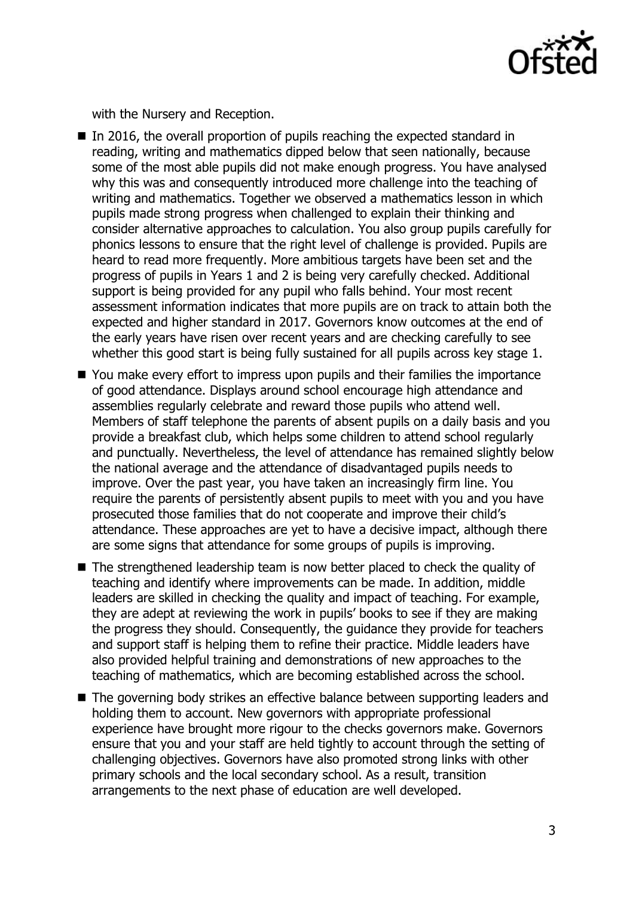

with the Nursery and Reception.

- In 2016, the overall proportion of pupils reaching the expected standard in reading, writing and mathematics dipped below that seen nationally, because some of the most able pupils did not make enough progress. You have analysed why this was and consequently introduced more challenge into the teaching of writing and mathematics. Together we observed a mathematics lesson in which pupils made strong progress when challenged to explain their thinking and consider alternative approaches to calculation. You also group pupils carefully for phonics lessons to ensure that the right level of challenge is provided. Pupils are heard to read more frequently. More ambitious targets have been set and the progress of pupils in Years 1 and 2 is being very carefully checked. Additional support is being provided for any pupil who falls behind. Your most recent assessment information indicates that more pupils are on track to attain both the expected and higher standard in 2017. Governors know outcomes at the end of the early years have risen over recent years and are checking carefully to see whether this good start is being fully sustained for all pupils across key stage 1.
- You make every effort to impress upon pupils and their families the importance of good attendance. Displays around school encourage high attendance and assemblies regularly celebrate and reward those pupils who attend well. Members of staff telephone the parents of absent pupils on a daily basis and you provide a breakfast club, which helps some children to attend school regularly and punctually. Nevertheless, the level of attendance has remained slightly below the national average and the attendance of disadvantaged pupils needs to improve. Over the past year, you have taken an increasingly firm line. You require the parents of persistently absent pupils to meet with you and you have prosecuted those families that do not cooperate and improve their child's attendance. These approaches are yet to have a decisive impact, although there are some signs that attendance for some groups of pupils is improving.
- The strengthened leadership team is now better placed to check the quality of teaching and identify where improvements can be made. In addition, middle leaders are skilled in checking the quality and impact of teaching. For example, they are adept at reviewing the work in pupils' books to see if they are making the progress they should. Consequently, the guidance they provide for teachers and support staff is helping them to refine their practice. Middle leaders have also provided helpful training and demonstrations of new approaches to the teaching of mathematics, which are becoming established across the school.
- The governing body strikes an effective balance between supporting leaders and holding them to account. New governors with appropriate professional experience have brought more rigour to the checks governors make. Governors ensure that you and your staff are held tightly to account through the setting of challenging objectives. Governors have also promoted strong links with other primary schools and the local secondary school. As a result, transition arrangements to the next phase of education are well developed.